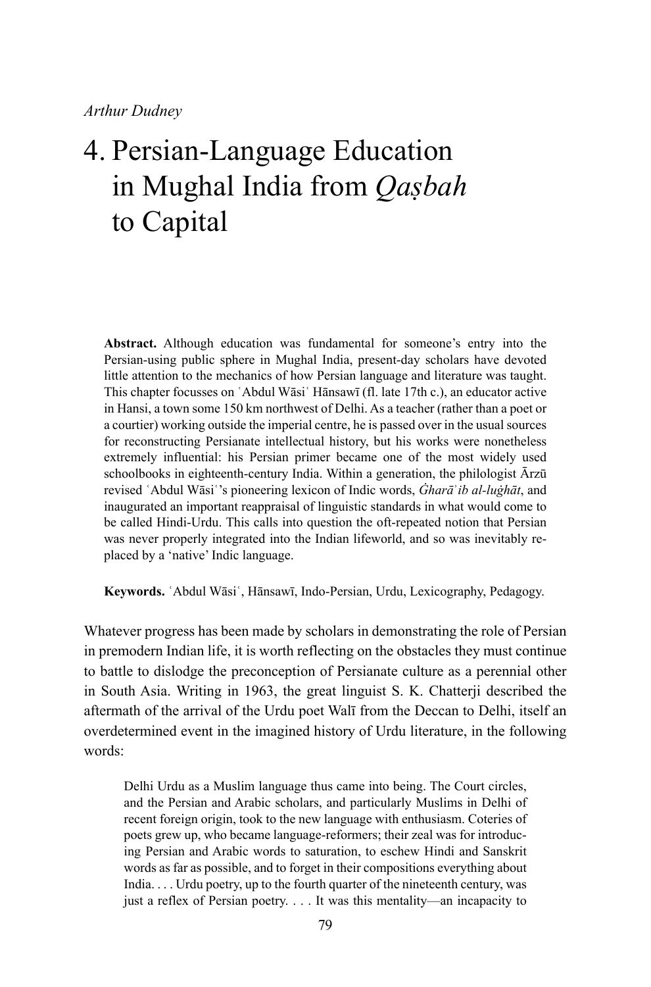**Abstract.** Although education was fundamental for someone's entry into the Persian-using public sphere in Mughal India, present-day scholars have devoted little attention to the mechanics of how Persian language and literature was taught. This chapter focusses on ʿAbdul Wāsiʿ Hānsawī (fl. late 17th c.), an educator active in Hansi, a town some 150 km northwest of Delhi. As a teacher (rather than a poet or a courtier) working outside the imperial centre, he is passed over in the usual sources for reconstructing Persianate intellectual history, but his works were nonetheless extremely influential: his Persian primer became one of the most widely used schoolbooks in eighteenth-century India. Within a generation, the philologist Ārzū revised ʿAbdul Wāsiʿ's pioneering lexicon of Indic words, *Ġharā*ʾ*ib al-luġhāt*, and inaugurated an important reappraisal of linguistic standards in what would come to be called Hindi-Urdu. This calls into question the oft-repeated notion that Persian was never properly integrated into the Indian lifeworld, and so was inevitably replaced by a 'native' Indic language.

**Keywords.** ʿAbdul Wāsiʿ, Hānsawī, Indo-Persian, Urdu, Lexicography, Pedagogy.

Whatever progress has been made by scholars in demonstrating the role of Persian in premodern Indian life, it is worth reflecting on the obstacles they must continue to battle to dislodge the preconception of Persianate culture as a perennial other in South Asia. Writing in 1963, the great linguist S. K. Chatterji described the aftermath of the arrival of the Urdu poet Walī from the Deccan to Delhi, itself an overdetermined event in the imagined history of Urdu literature, in the following words:

Delhi Urdu as a Muslim language thus came into being. The Court circles, and the Persian and Arabic scholars, and particularly Muslims in Delhi of recent foreign origin, took to the new language with enthusiasm. Coteries of poets grew up, who became language-reformers; their zeal was for introducing Persian and Arabic words to saturation, to eschew Hindi and Sanskrit words as far as possible, and to forget in their compositions everything about India. . . . Urdu poetry, up to the fourth quarter of the nineteenth century, was just a reflex of Persian poetry. . . . It was this mentality—an incapacity to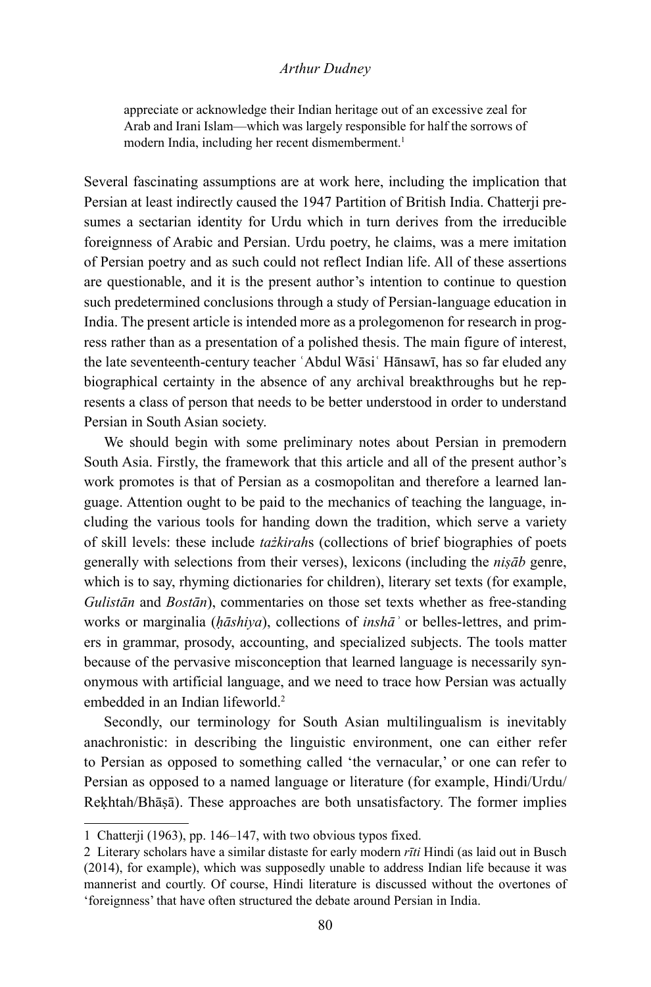appreciate or acknowledge their Indian heritage out of an excessive zeal for Arab and Irani Islam—which was largely responsible for half the sorrows of modern India, including her recent dismemberment.<sup>1</sup>

Several fascinating assumptions are at work here, including the implication that Persian at least indirectly caused the 1947 Partition of British India. Chatterji presumes a sectarian identity for Urdu which in turn derives from the irreducible foreignness of Arabic and Persian. Urdu poetry, he claims, was a mere imitation of Persian poetry and as such could not reflect Indian life. All of these assertions are questionable, and it is the present author's intention to continue to question such predetermined conclusions through a study of Persian-language education in India. The present article is intended more as a prolegomenon for research in progress rather than as a presentation of a polished thesis. The main figure of interest, the late seventeenth-century teacher 'Abdul Wāsi' Hānsawī, has so far eluded any biographical certainty in the absence of any archival breakthroughs but he represents a class of person that needs to be better understood in order to understand Persian in South Asian society.

We should begin with some preliminary notes about Persian in premodern South Asia. Firstly, the framework that this article and all of the present author's work promotes is that of Persian as a cosmopolitan and therefore a learned language. Attention ought to be paid to the mechanics of teaching the language, including the various tools for handing down the tradition, which serve a variety of skill levels: these include *tażkirah*s (collections of brief biographies of poets generally with selections from their verses), lexicons (including the *niṣāb* genre, which is to say, rhyming dictionaries for children), literary set texts (for example, *Gulistān* and *Bostān*), commentaries on those set texts whether as free-standing works or marginalia (*ḥāshiya*), collections of *inshāʾ* or belles-lettres, and primers in grammar, prosody, accounting, and specialized subjects. The tools matter because of the pervasive misconception that learned language is necessarily synonymous with artificial language, and we need to trace how Persian was actually embedded in an Indian lifeworld.<sup>2</sup>

Secondly, our terminology for South Asian multilingualism is inevitably anachronistic: in describing the linguistic environment, one can either refer to Persian as opposed to something called 'the vernacular,' or one can refer to Persian as opposed to a named language or literature (for example, Hindi/Urdu/ Reḳhtah/Bhāṣā). These approaches are both unsatisfactory. The former implies

<sup>1</sup> Chatterji (1963), pp. 146–147, with two obvious typos fixed.

<sup>2</sup> Literary scholars have a similar distaste for early modern *rīti* Hindi (as laid out in Busch (2014), for example), which was supposedly unable to address Indian life because it was mannerist and courtly. Of course, Hindi literature is discussed without the overtones of 'foreignness' that have often structured the debate around Persian in India.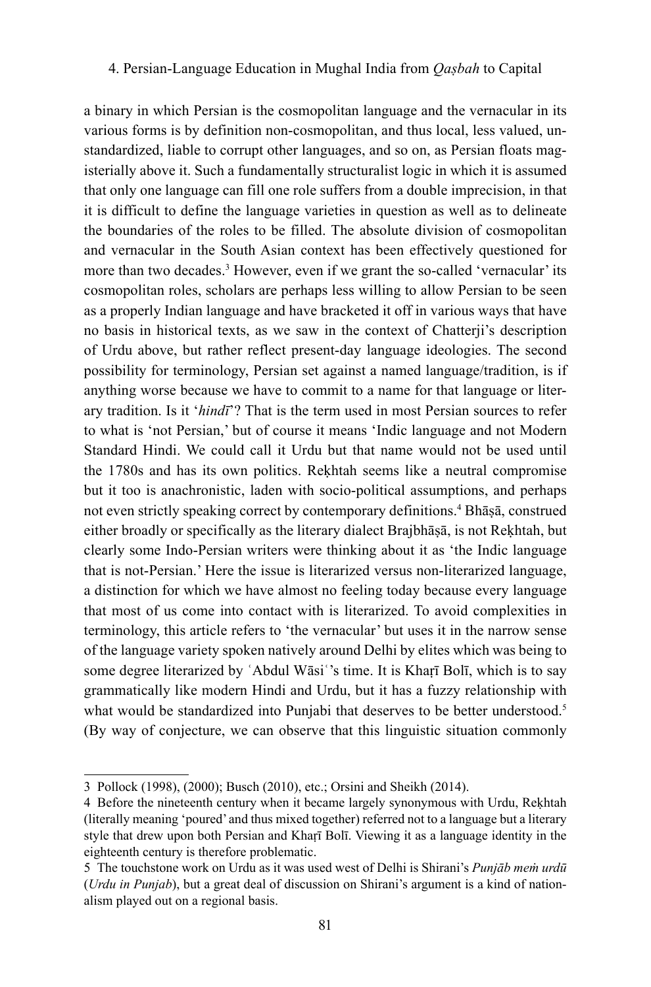a binary in which Persian is the cosmopolitan language and the vernacular in its various forms is by definition non-cosmopolitan, and thus local, less valued, unstandardized, liable to corrupt other languages, and so on, as Persian floats magisterially above it. Such a fundamentally structuralist logic in which it is assumed that only one language can fill one role suffers from a double imprecision, in that it is difficult to define the language varieties in question as well as to delineate the boundaries of the roles to be filled. The absolute division of cosmopolitan and vernacular in the South Asian context has been effectively questioned for more than two decades.<sup>3</sup> However, even if we grant the so-called 'vernacular' its cosmopolitan roles, scholars are perhaps less willing to allow Persian to be seen as a properly Indian language and have bracketed it off in various ways that have no basis in historical texts, as we saw in the context of Chatterji's description of Urdu above, but rather reflect present-day language ideologies. The second possibility for terminology, Persian set against a named language/tradition, is if anything worse because we have to commit to a name for that language or literary tradition. Is it '*hindī*'? That is the term used in most Persian sources to refer to what is 'not Persian,' but of course it means 'Indic language and not Modern Standard Hindi. We could call it Urdu but that name would not be used until the 1780s and has its own politics. Reḳhtah seems like a neutral compromise but it too is anachronistic, laden with socio-political assumptions, and perhaps not even strictly speaking correct by contemporary definitions.<sup>4</sup> Bhāṣā, construed either broadly or specifically as the literary dialect Brajbhāṣā, is not Reḳhtah, but clearly some Indo-Persian writers were thinking about it as 'the Indic language that is not-Persian.' Here the issue is literarized versus non-literarized language, a distinction for which we have almost no feeling today because every language that most of us come into contact with is literarized. To avoid complexities in terminology, this article refers to 'the vernacular' but uses it in the narrow sense of the language variety spoken natively around Delhi by elites which was being to some degree literarized by 'Abdul Wāsi''s time. It is Khaṛī Bolī, which is to say grammatically like modern Hindi and Urdu, but it has a fuzzy relationship with what would be standardized into Punjabi that deserves to be better understood.<sup>5</sup> (By way of conjecture, we can observe that this linguistic situation commonly

<sup>3</sup> Pollock (1998), (2000); Busch (2010), etc.; Orsini and Sheikh (2014).

<sup>4</sup> Before the nineteenth century when it became largely synonymous with Urdu, Rekhtah (literally meaning 'poured' and thus mixed together) referred not to a language but a literary style that drew upon both Persian and Khaṛī Bolī. Viewing it as a language identity in the eighteenth century is therefore problematic.

<sup>5</sup> The touchstone work on Urdu as it was used west of Delhi is Shirani's *Punjāb meṁ urdū*  (*Urdu in Punjab*), but a great deal of discussion on Shirani's argument is a kind of nationalism played out on a regional basis.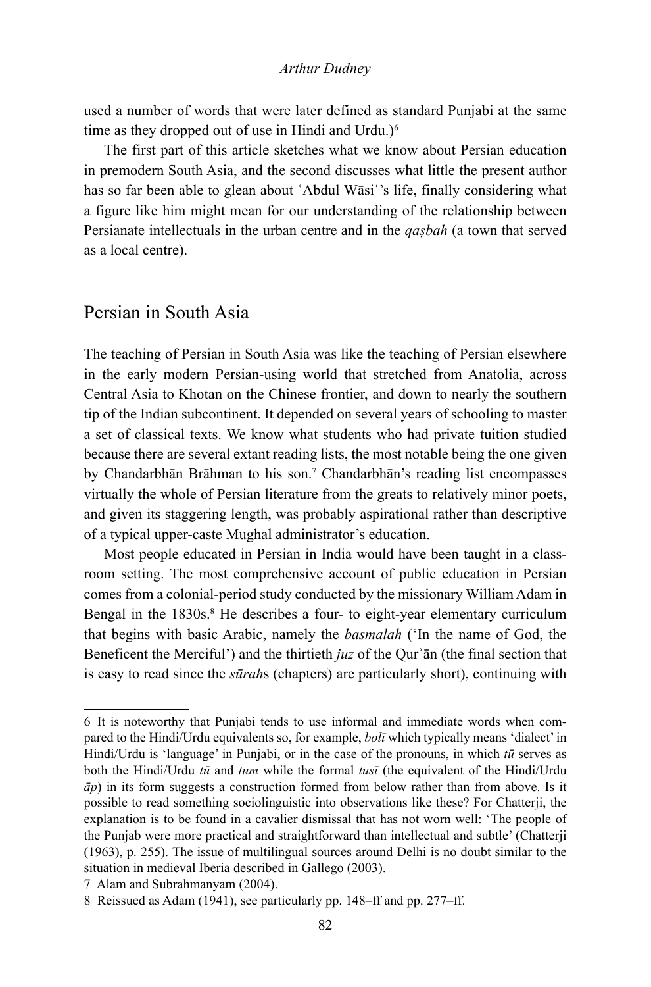used a number of words that were later defined as standard Punjabi at the same time as they dropped out of use in Hindi and Urdu.)<sup>6</sup>

The first part of this article sketches what we know about Persian education in premodern South Asia, and the second discusses what little the present author has so far been able to glean about 'Abdul Wāsi''s life, finally considering what a figure like him might mean for our understanding of the relationship between Persianate intellectuals in the urban centre and in the *qaṣbah* (a town that served as a local centre).

# Persian in South Asia

The teaching of Persian in South Asia was like the teaching of Persian elsewhere in the early modern Persian-using world that stretched from Anatolia, across Central Asia to Khotan on the Chinese frontier, and down to nearly the southern tip of the Indian subcontinent. It depended on several years of schooling to master a set of classical texts. We know what students who had private tuition studied because there are several extant reading lists, the most notable being the one given by Chandarbhān Brāhman to his son.<sup>7</sup> Chandarbhān's reading list encompasses virtually the whole of Persian literature from the greats to relatively minor poets, and given its staggering length, was probably aspirational rather than descriptive of a typical upper-caste Mughal administrator's education.

Most people educated in Persian in India would have been taught in a classroom setting. The most comprehensive account of public education in Persian comes from a colonial-period study conducted by the missionary William Adam in Bengal in the 1830s.<sup>8</sup> He describes a four- to eight-year elementary curriculum that begins with basic Arabic, namely the *basmalah* ('In the name of God, the Beneficent the Merciful') and the thirtieth *juz* of the Qurʾān (the final section that is easy to read since the *sūrah*s (chapters) are particularly short), continuing with

<sup>6</sup> It is noteworthy that Punjabi tends to use informal and immediate words when compared to the Hindi/Urdu equivalents so, for example, *bolī* which typically means 'dialect' in Hindi/Urdu is 'language' in Punjabi, or in the case of the pronouns, in which  $t\bar{u}$  serves as both the Hindi/Urdu *tū* and *tum* while the formal *tusī* (the equivalent of the Hindi/Urdu *āp*) in its form suggests a construction formed from below rather than from above. Is it possible to read something sociolinguistic into observations like these? For Chatterji, the explanation is to be found in a cavalier dismissal that has not worn well: 'The people of the Punjab were more practical and straightforward than intellectual and subtle' (Chatterji (1963), p. 255). The issue of multilingual sources around Delhi is no doubt similar to the situation in medieval Iberia described in Gallego (2003).

<sup>7</sup> Alam and Subrahmanyam (2004).

<sup>8</sup> Reissued as Adam (1941), see particularly pp. 148–ff and pp. 277–ff.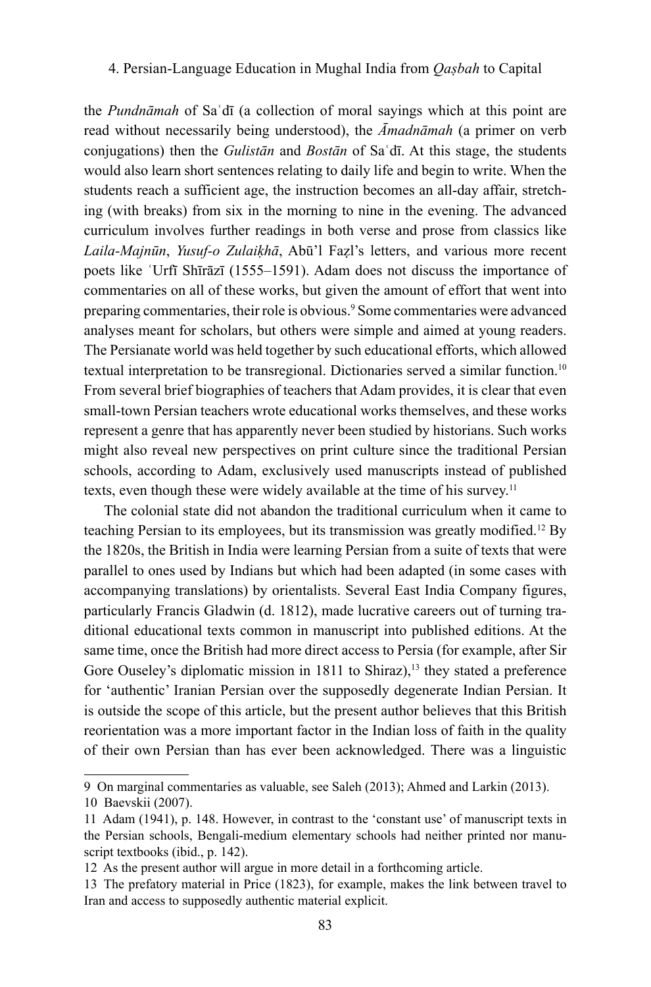the *Pundnāmah* of Saʿdī (a collection of moral sayings which at this point are read without necessarily being understood), the *Āmadnāmah* (a primer on verb conjugations) then the *Gulistān* and *Bostān* of Saʿdī. At this stage, the students would also learn short sentences relating to daily life and begin to write. When the students reach a sufficient age, the instruction becomes an all-day affair, stretching (with breaks) from six in the morning to nine in the evening. The advanced curriculum involves further readings in both verse and prose from classics like *Laila-Majnūn*, *Yusuf-o Zulaiḳhā*, Abū'l Faẓl's letters, and various more recent poets like ʿUrfī Shīrāzī (1555–1591). Adam does not discuss the importance of commentaries on all of these works, but given the amount of effort that went into preparing commentaries, their role is obvious.<sup>9</sup> Some commentaries were advanced analyses meant for scholars, but others were simple and aimed at young readers. The Persianate world was held together by such educational efforts, which allowed textual interpretation to be transregional. Dictionaries served a similar function.10 From several brief biographies of teachers that Adam provides, it is clear that even small-town Persian teachers wrote educational works themselves, and these works represent a genre that has apparently never been studied by historians. Such works might also reveal new perspectives on print culture since the traditional Persian schools, according to Adam, exclusively used manuscripts instead of published texts, even though these were widely available at the time of his survey.<sup>11</sup>

The colonial state did not abandon the traditional curriculum when it came to teaching Persian to its employees, but its transmission was greatly modified.12 By the 1820s, the British in India were learning Persian from a suite of texts that were parallel to ones used by Indians but which had been adapted (in some cases with accompanying translations) by orientalists. Several East India Company figures, particularly Francis Gladwin (d. 1812), made lucrative careers out of turning traditional educational texts common in manuscript into published editions. At the same time, once the British had more direct access to Persia (for example, after Sir Gore Ouseley's diplomatic mission in 1811 to Shiraz),<sup>13</sup> they stated a preference for 'authentic' Iranian Persian over the supposedly degenerate Indian Persian. It is outside the scope of this article, but the present author believes that this British reorientation was a more important factor in the Indian loss of faith in the quality of their own Persian than has ever been acknowledged. There was a linguistic

<sup>9</sup> On marginal commentaries as valuable, see Saleh (2013); Ahmed and Larkin (2013).

<sup>10</sup> Baevskii (2007).

<sup>11</sup> Adam (1941), p. 148. However, in contrast to the 'constant use' of manuscript texts in the Persian schools, Bengali-medium elementary schools had neither printed nor manuscript textbooks (ibid., p. 142).

<sup>12</sup> As the present author will argue in more detail in a forthcoming article.

<sup>13</sup> The prefatory material in Price (1823), for example, makes the link between travel to Iran and access to supposedly authentic material explicit.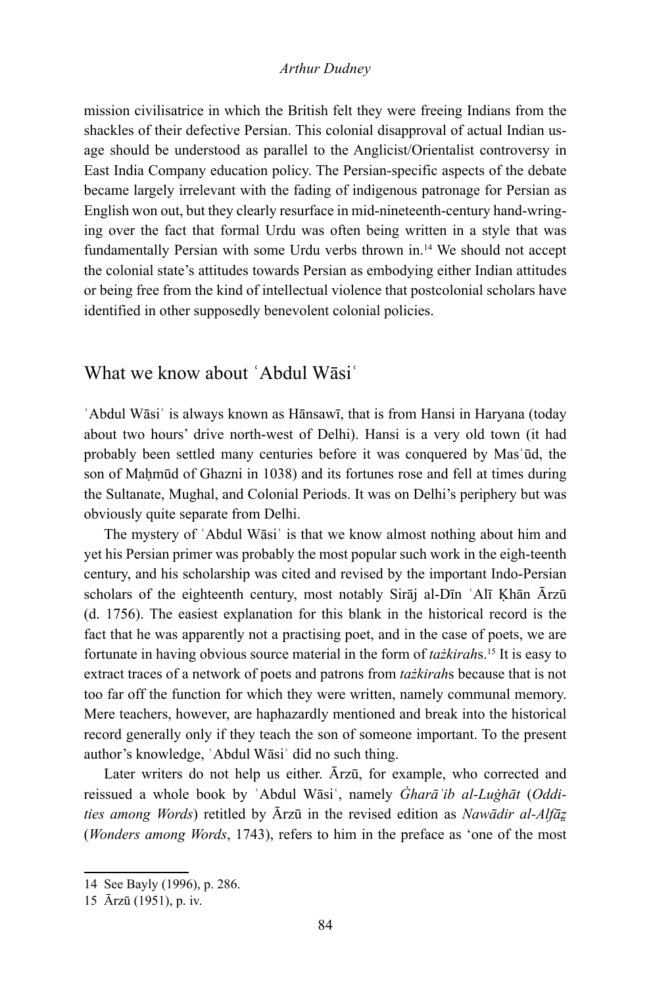mission civilisatrice in which the British felt they were freeing Indians from the shackles of their defective Persian. This colonial disapproval of actual Indian usage should be understood as parallel to the Anglicist/Orientalist controversy in East India Company education policy. The Persian-specific aspects of the debate became largely irrelevant with the fading of indigenous patronage for Persian as English won out, but they clearly resurface in mid-nineteenth-century hand-wringing over the fact that formal Urdu was often being written in a style that was fundamentally Persian with some Urdu verbs thrown in.14 We should not accept the colonial state's attitudes towards Persian as embodying either Indian attitudes or being free from the kind of intellectual violence that postcolonial scholars have identified in other supposedly benevolent colonial policies.

# What we know about ʿAbdul Wāsiʿ

ʿAbdul Wāsiʿ is always known as Hānsawī, that is from Hansi in Haryana (today about two hours' drive north-west of Delhi). Hansi is a very old town (it had probably been settled many centuries before it was conquered by Masʿūd, the son of Maḥmūd of Ghazni in 1038) and its fortunes rose and fell at times during the Sultanate, Mughal, and Colonial Periods. It was on Delhi's periphery but was obviously quite separate from Delhi.

The mystery of 'Abdul Wāsi' is that we know almost nothing about him and yet his Persian primer was probably the most popular such work in the eigh-teenth century, and his scholarship was cited and revised by the important Indo-Persian scholars of the eighteenth century, most notably Sirāj al-Dīn ʿAlī Ḳhān Ārzū (d. 1756). The easiest explanation for this blank in the historical record is the fact that he was apparently not a practising poet, and in the case of poets, we are fortunate in having obvious source material in the form of *tażkirah*s.<sup>15</sup> It is easy to extract traces of a network of poets and patrons from *tażkirah*s because that is not too far off the function for which they were written, namely communal memory. Mere teachers, however, are haphazardly mentioned and break into the historical record generally only if they teach the son of someone important. To the present author's knowledge, ʿAbdul Wāsiʿ did no such thing.

Later writers do not help us either. Ārzū, for example, who corrected and reissued a whole book by ʿAbdul Wāsiʿ, namely *Ġharāʾib al-Luġhāt* (*Oddities among Words*) retitled by Ārzū in the revised edition as *Nawādir al-Alfāz̤* (*Wonders among Words*, 1743), refers to him in the preface as 'one of the most

<sup>14</sup> See Bayly (1996), p. 286.

<sup>15</sup> Ārzū (1951), p. iv.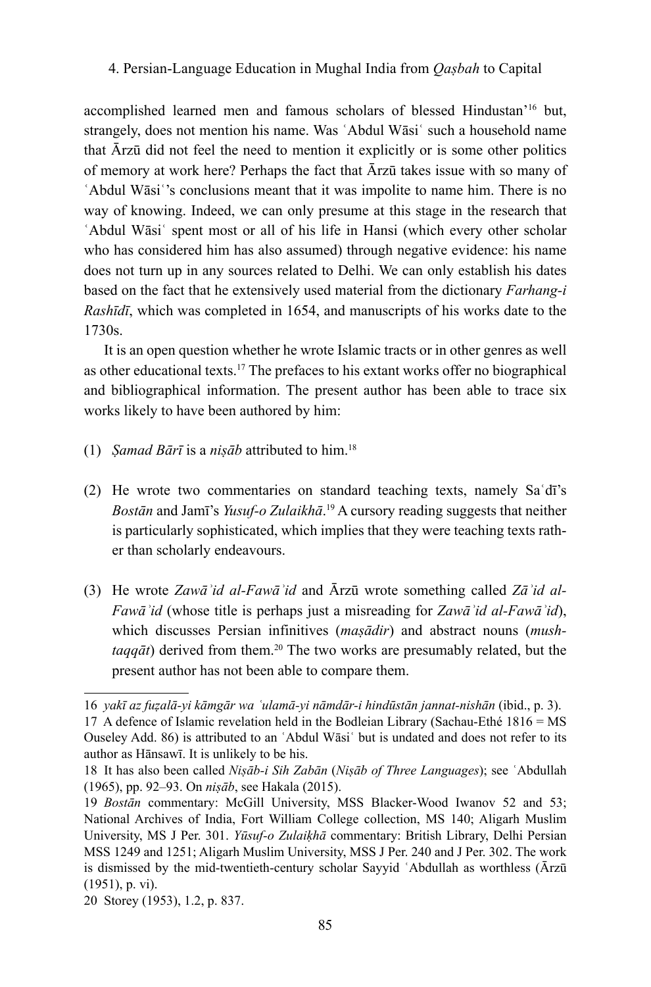accomplished learned men and famous scholars of blessed Hindustan'16 but, strangely, does not mention his name. Was ʿAbdul Wāsiʿ such a household name that Ārzū did not feel the need to mention it explicitly or is some other politics of memory at work here? Perhaps the fact that Ārzū takes issue with so many of ʿAbdul Wāsiʿ's conclusions meant that it was impolite to name him. There is no way of knowing. Indeed, we can only presume at this stage in the research that ʿAbdul Wāsiʿ spent most or all of his life in Hansi (which every other scholar who has considered him has also assumed) through negative evidence: his name does not turn up in any sources related to Delhi. We can only establish his dates based on the fact that he extensively used material from the dictionary *Farhang-i Rashīdī*, which was completed in 1654, and manuscripts of his works date to the 1730s.

It is an open question whether he wrote Islamic tracts or in other genres as well as other educational texts.17 The prefaces to his extant works offer no biographical and bibliographical information. The present author has been able to trace six works likely to have been authored by him:

- (1) *Ṣamad Bārī* is a *niṣāb* attributed to him.<sup>18</sup>
- (2) He wrote two commentaries on standard teaching texts, namely Saʿdī's *Bostān* and Jamī's *Yusuf-o Zulaikhā*. <sup>19</sup> A cursory reading suggests that neither is particularly sophisticated, which implies that they were teaching texts rather than scholarly endeavours.
- (3) He wrote *Zawāʾid al-Fawāʾid* and Ārzū wrote something called *Zāʾid al-Fawāʾid* (whose title is perhaps just a misreading for *Zawāʾid al-Fawāʾid*), which discusses Persian infinitives (*maṣādir*) and abstract nouns (*mushtaqqāt*) derived from them.<sup>20</sup> The two works are presumably related, but the present author has not been able to compare them.

<sup>16</sup> *yakī az fuẓalā-yi kāmgār wa ʿulamā-yi nāmdār-i hindūstān jannat-nishān* (ibid., p. 3).

<sup>17</sup> A defence of Islamic revelation held in the Bodleian Library (Sachau-Ethé 1816 = MS Ouseley Add. 86) is attributed to an ʿAbdul Wāsiʿ but is undated and does not refer to its author as Hānsawī. It is unlikely to be his.

<sup>18</sup> It has also been called *Niṣāb-i Sih Zabān* (*Niṣāb of Three Languages*); see ʿAbdullah (1965), pp. 92–93. On *niṣāb*, see Hakala (2015).

<sup>19</sup> *Bostān* commentary: McGill University, MSS Blacker-Wood Iwanov 52 and 53; National Archives of India, Fort William College collection, MS 140; Aligarh Muslim University, MS J Per. 301. *Yūsuf-o Zulaiḳhā* commentary: British Library, Delhi Persian MSS 1249 and 1251; Aligarh Muslim University, MSS J Per. 240 and J Per. 302. The work is dismissed by the mid-twentieth-century scholar Sayyid ʿAbdullah as worthless (Ārzū (1951), p. vi).

<sup>20</sup> Storey (1953), 1.2, p. 837.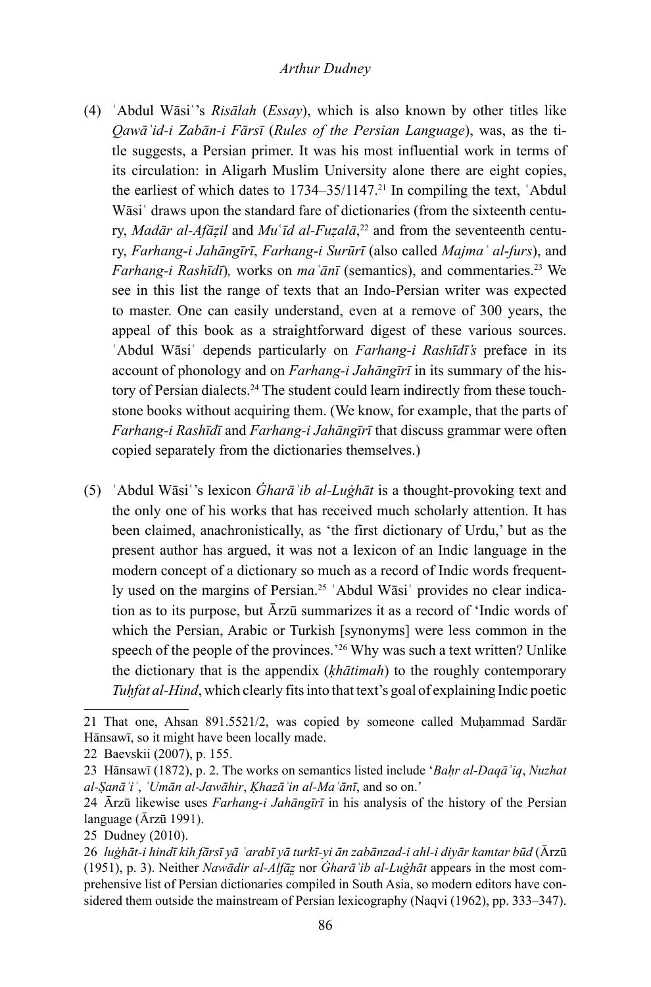- (4) ʿAbdul Wāsiʿ's *Risālah* (*Essay*), which is also known by other titles like *Qawāʾid-i Zabān-i Fārsī* (*Rules of the Persian Language*), was, as the title suggests, a Persian primer. It was his most influential work in terms of its circulation: in Aligarh Muslim University alone there are eight copies, the earliest of which dates to  $1734-35/1147$ .<sup>21</sup> In compiling the text, 'Abdul Wāsi<sup> $\cdot$ </sup> draws upon the standard fare of dictionaries (from the sixteenth century, *Madār al-Afāẓil* and *Mu*ʿ*īd al-Fuẓalā*, 22 and from the seventeenth century, *Farhang-i Jahāngīrī*, *Farhang-i Surūrī* (also called *Majmaʿ al-furs*), and *Farhang-i Rashīdī*), works on *ma*  $\overline{a}n\overline{i}$  (semantics), and commentaries.<sup>23</sup> We see in this list the range of texts that an Indo-Persian writer was expected to master. One can easily understand, even at a remove of 300 years, the appeal of this book as a straightforward digest of these various sources. ʿAbdul Wāsiʿ depends particularly on *Farhang-i Rashīdī's* preface in its account of phonology and on *Farhang-i Jahāngīrī* in its summary of the history of Persian dialects.<sup>24</sup> The student could learn indirectly from these touchstone books without acquiring them. (We know, for example, that the parts of *Farhang-i Rashīdī* and *Farhang-i Jahāngīrī* that discuss grammar were often copied separately from the dictionaries themselves.)
- (5) ʿAbdul Wāsiʿ's lexicon *Ġharāʾib al-Luġhāt* is a thought-provoking text and the only one of his works that has received much scholarly attention. It has been claimed, anachronistically, as 'the first dictionary of Urdu,' but as the present author has argued, it was not a lexicon of an Indic language in the modern concept of a dictionary so much as a record of Indic words frequently used on the margins of Persian.<sup>25</sup> 'Abdul Wāsi' provides no clear indication as to its purpose, but Ārzū summarizes it as a record of 'Indic words of which the Persian, Arabic or Turkish [synonyms] were less common in the speech of the people of the provinces.<sup>26</sup> Why was such a text written? Unlike the dictionary that is the appendix (*ḳhātimah*) to the roughly contemporary *Tuhfat al-Hind*, which clearly fits into that text's goal of explaining Indic poetic

<sup>21</sup> That one, Ahsan 891.5521/2, was copied by someone called Muḥammad Sardār Hānsawī, so it might have been locally made.

<sup>22</sup> Baevskii (2007), p. 155.

<sup>23</sup> Hānsawī (1872), p. 2. The works on semantics listed include '*Baḥr al-Daqāʾiq*, *Nuzhat al-Ṣanāʾiʿ*, *ʿUmān al-Jawāhir*, *Ḳhazāʾin al-Maʿānī*, and so on.'

<sup>24</sup> Ārzū likewise uses *Farhang-i Jahāngīrī* in his analysis of the history of the Persian language (Ārzū 1991).

<sup>25</sup> Dudney (2010).

<sup>26</sup> *luġhāt-i hindī kih fārsī yā ʿarabī yā turkī-yi ān zabānzad-i ahl-i diyār kamtar būd* (Ārzū (1951), p. 3). Neither *Nawādir al-Alfāz̤* nor *Ġharāʾib al-Luġhāt* appears in the most comprehensive list of Persian dictionaries compiled in South Asia, so modern editors have considered them outside the mainstream of Persian lexicography (Naqvi (1962), pp. 333–347).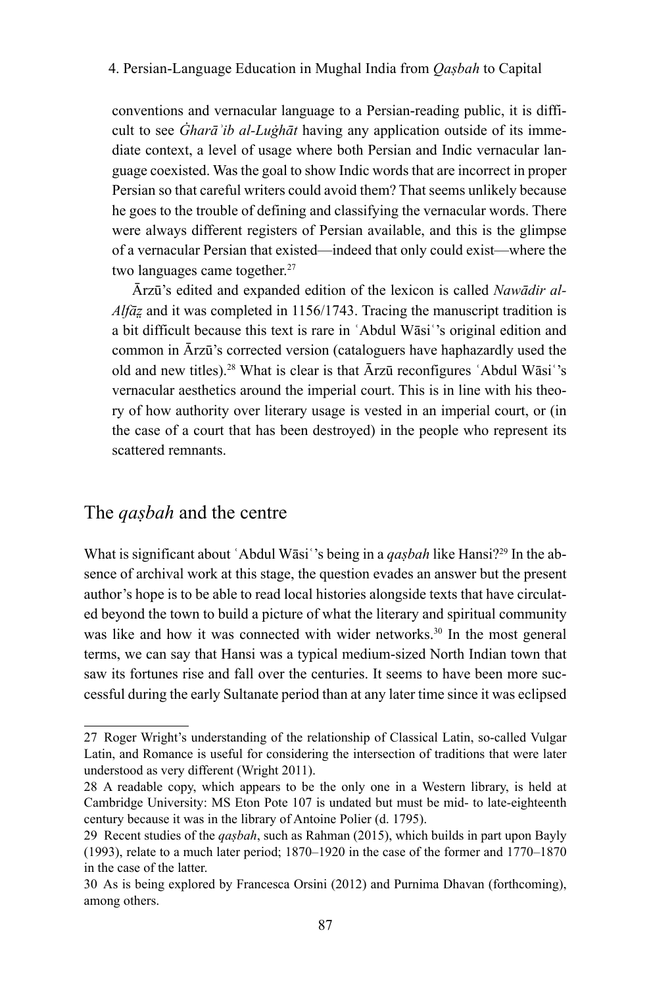conventions and vernacular language to a Persian-reading public, it is difficult to see *Ġharāʾib al-Luġhāt* having any application outside of its immediate context, a level of usage where both Persian and Indic vernacular language coexisted. Was the goal to show Indic words that are incorrect in proper Persian so that careful writers could avoid them? That seems unlikely because he goes to the trouble of defining and classifying the vernacular words. There were always different registers of Persian available, and this is the glimpse of a vernacular Persian that existed—indeed that only could exist—where the two languages came together.<sup>27</sup>

Ārzū's edited and expanded edition of the lexicon is called *Nawādir al-Alfāz* and it was completed in 1156/1743. Tracing the manuscript tradition is a bit difficult because this text is rare in ʿAbdul Wāsiʿ's original edition and common in Ārzū's corrected version (cataloguers have haphazardly used the old and new titles).<sup>28</sup> What is clear is that  $\bar{A}$ rzū reconfigures 'Abdul Wāsi''s vernacular aesthetics around the imperial court. This is in line with his theory of how authority over literary usage is vested in an imperial court, or (in the case of a court that has been destroyed) in the people who represent its scattered remnants.

# The *qaṣbah* and the centre

What is significant about 'Abdul Wāsi''s being in a *qașbah* like Hansi?<sup>29</sup> In the absence of archival work at this stage, the question evades an answer but the present author's hope is to be able to read local histories alongside texts that have circulated beyond the town to build a picture of what the literary and spiritual community was like and how it was connected with wider networks.<sup>30</sup> In the most general terms, we can say that Hansi was a typical medium-sized North Indian town that saw its fortunes rise and fall over the centuries. It seems to have been more successful during the early Sultanate period than at any later time since it was eclipsed

<sup>27</sup> Roger Wright's understanding of the relationship of Classical Latin, so-called Vulgar Latin, and Romance is useful for considering the intersection of traditions that were later understood as very different (Wright 2011).

<sup>28</sup> A readable copy, which appears to be the only one in a Western library, is held at Cambridge University: MS Eton Pote 107 is undated but must be mid- to late-eighteenth century because it was in the library of Antoine Polier (d. 1795).

<sup>29</sup> Recent studies of the *qaṣbah*, such as Rahman (2015), which builds in part upon Bayly (1993), relate to a much later period; 1870–1920 in the case of the former and 1770–1870 in the case of the latter.

<sup>30</sup> As is being explored by Francesca Orsini (2012) and Purnima Dhavan (forthcoming), among others.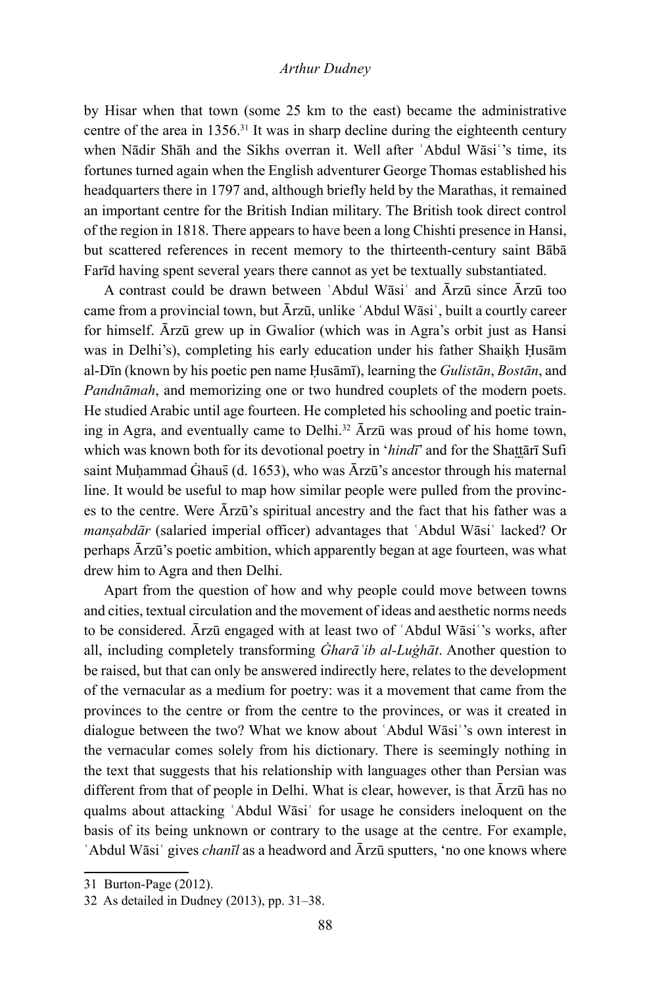by Hisar when that town (some 25 km to the east) became the administrative centre of the area in 1356.31 It was in sharp decline during the eighteenth century when Nādir Shāh and the Sikhs overran it. Well after 'Abdul Wāsi''s time, its fortunes turned again when the English adventurer George Thomas established his headquarters there in 1797 and, although briefly held by the Marathas, it remained an important centre for the British Indian military. The British took direct control of the region in 1818. There appears to have been a long Chishti presence in Hansi, but scattered references in recent memory to the thirteenth-century saint Bābā Farīd having spent several years there cannot as yet be textually substantiated.

A contrast could be drawn between ʿAbdul Wāsiʿ and Ārzū since Ārzū too came from a provincial town, but Ārzū, unlike ʿAbdul Wāsiʿ, built a courtly career for himself. Ārzū grew up in Gwalior (which was in Agra's orbit just as Hansi was in Delhi's), completing his early education under his father Shaiḳh Ḥusām al-Dīn (known by his poetic pen name Ḥusāmī), learning the *Gulistān*, *Bostān*, and *Pandnāmah*, and memorizing one or two hundred couplets of the modern poets. He studied Arabic until age fourteen. He completed his schooling and poetic training in Agra, and eventually came to Delhi.32 Ārzū was proud of his home town, which was known both for its devotional poetry in '*hindī*' and for the Shattārī Sufi saint Muhammad Ġhaus̄ (d. 1653), who was Ārzū's ancestor through his maternal line. It would be useful to map how similar people were pulled from the provinces to the centre. Were Ārzū's spiritual ancestry and the fact that his father was a *mansabdār* (salaried imperial officer) advantages that 'Abdul Wāsi' lacked? Or perhaps Ārzū's poetic ambition, which apparently began at age fourteen, was what drew him to Agra and then Delhi.

Apart from the question of how and why people could move between towns and cities, textual circulation and the movement of ideas and aesthetic norms needs to be considered. Ārzū engaged with at least two of ʿAbdul Wāsiʿ's works, after all, including completely transforming *Ġharāʾib al-Luġhāt*. Another question to be raised, but that can only be answered indirectly here, relates to the development of the vernacular as a medium for poetry: was it a movement that came from the provinces to the centre or from the centre to the provinces, or was it created in dialogue between the two? What we know about ʿAbdul Wāsiʿ's own interest in the vernacular comes solely from his dictionary. There is seemingly nothing in the text that suggests that his relationship with languages other than Persian was different from that of people in Delhi. What is clear, however, is that Ārzū has no qualms about attacking ʿAbdul Wāsiʿ for usage he considers ineloquent on the basis of its being unknown or contrary to the usage at the centre. For example, ʿAbdul Wāsiʿ gives *chanīl* as a headword and Ārzū sputters, 'no one knows where

<sup>31</sup> Burton-Page (2012).

<sup>32</sup> As detailed in Dudney (2013), pp. 31–38.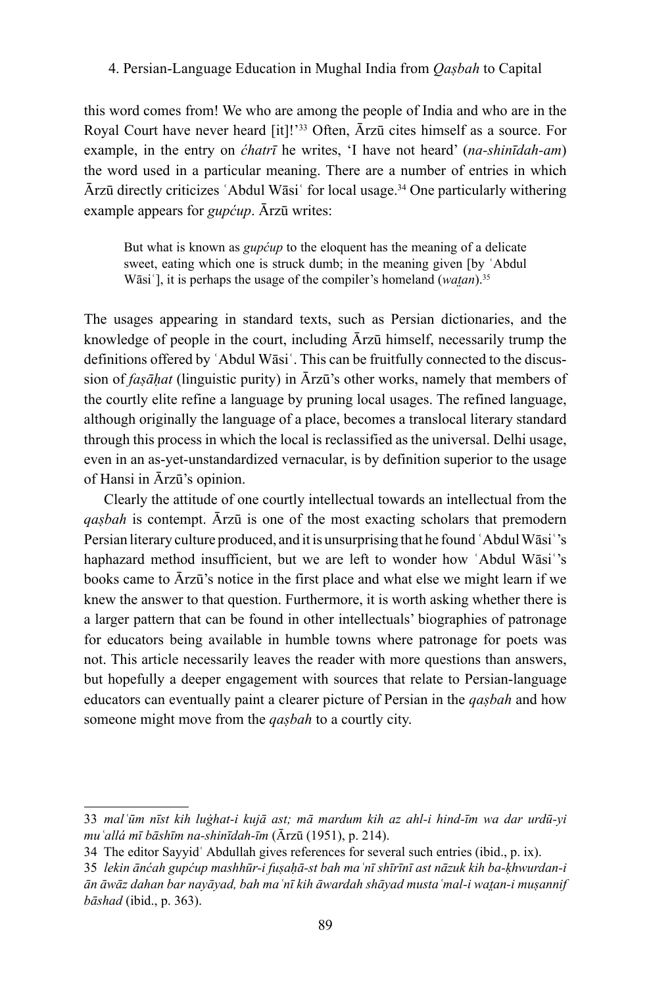this word comes from! We who are among the people of India and who are in the Royal Court have never heard [it]!'33 Often, Ārzū cites himself as a source. For example, in the entry on *ćhatrī* he writes, 'I have not heard' (*na-shinīdah-am*) the word used in a particular meaning. There are a number of entries in which Ārzū directly criticizes ʿAbdul Wāsiʿ for local usage.34 One particularly withering example appears for *gupćup*. Ārzū writes:

But what is known as *gupćup* to the eloquent has the meaning of a delicate sweet, eating which one is struck dumb; in the meaning given [by ʿAbdul Wāsi'], it is perhaps the usage of the compiler's homeland (*watan*).<sup>35</sup>

The usages appearing in standard texts, such as Persian dictionaries, and the knowledge of people in the court, including Ārzū himself, necessarily trump the definitions offered by ʿAbdul Wāsiʿ. This can be fruitfully connected to the discussion of *faṣāḥat* (linguistic purity) in Ārzū's other works, namely that members of the courtly elite refine a language by pruning local usages. The refined language, although originally the language of a place, becomes a translocal literary standard through this process in which the local is reclassified as the universal. Delhi usage, even in an as-yet-unstandardized vernacular, is by definition superior to the usage of Hansi in Ārzū's opinion.

Clearly the attitude of one courtly intellectual towards an intellectual from the *qaṣbah* is contempt. Ārzū is one of the most exacting scholars that premodern Persian literary culture produced, and it is unsurprising that he found ʿAbdul Wāsiʿ's haphazard method insufficient, but we are left to wonder how 'Abdul Wāsi''s books came to Ārzū's notice in the first place and what else we might learn if we knew the answer to that question. Furthermore, it is worth asking whether there is a larger pattern that can be found in other intellectuals' biographies of patronage for educators being available in humble towns where patronage for poets was not. This article necessarily leaves the reader with more questions than answers, but hopefully a deeper engagement with sources that relate to Persian-language educators can eventually paint a clearer picture of Persian in the *qaṣbah* and how someone might move from the *qaṣbah* to a courtly city.

<sup>33</sup> *malʿūm nīst kih luġhat-i kujā ast; mā mardum kih az ahl-i hind-īm wa dar urdū-yi muʿallá mī bāshīm na-shinīdah-īm* (Ārzū (1951), p. 214).

<sup>34</sup> The editor Sayyidʿ Abdullah gives references for several such entries (ibid., p. ix).

<sup>35</sup> *lekin ānćah gupćup mashhūr-i fuṣaḥā-st bah maʿnī shīrīnī ast nāzuk kih ba-ḳhwurdan-i ān āwāz dahan bar nayāyad, bah maʿnī kih āwardah shāyad mustaʿmal-i wat̤an-i muṣannif bāshad* (ibid., p. 363).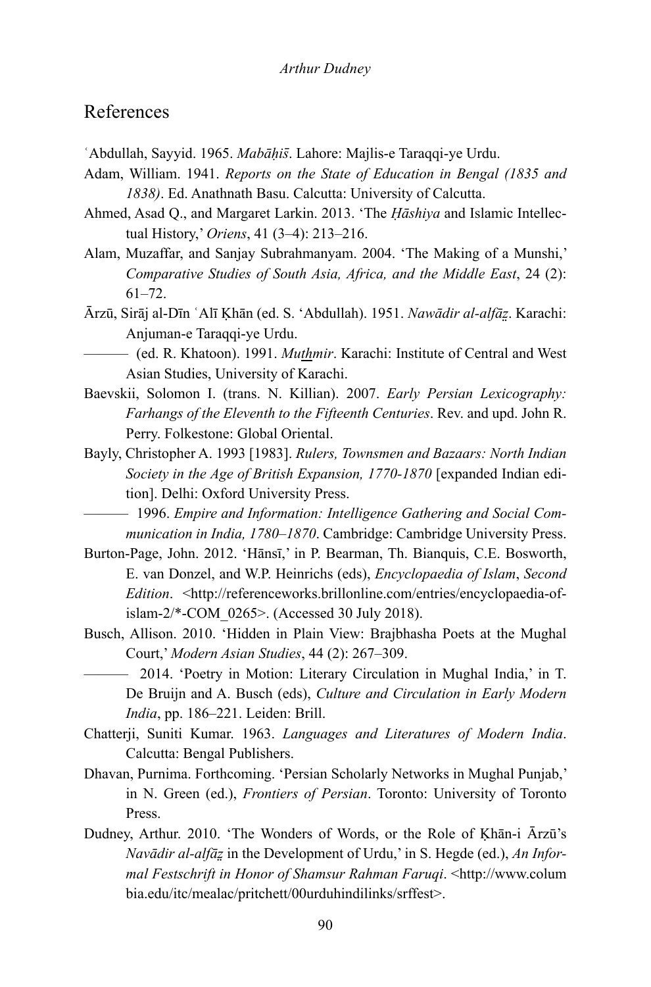## References

- ʿAbdullah, Sayyid. 1965. *Mabāḥis̄*. Lahore: Majlis-e Taraqqi-ye Urdu.
- Adam, William. 1941. *Reports on the State of Education in Bengal (1835 and 1838)*. Ed. Anathnath Basu. Calcutta: University of Calcutta.
- Ahmed, Asad Q., and Margaret Larkin. 2013. 'The *Ḥāshiya* and Islamic Intellectual History,' *Oriens*, 41 (3–4): 213–216.
- Alam, Muzaffar, and Sanjay Subrahmanyam. 2004. 'The Making of a Munshi,' *Comparative Studies of South Asia, Africa, and the Middle East*, 24 (2): 61–72.
- Ārzū, Sirāj al-Dīn ʿAlī Ḳhān (ed. S. 'Abdullah). 1951. *Nawādir al-alfāz̤*. Karachi: Anjuman-e Taraqqi-ye Urdu.
- ——— (ed. R. Khatoon). 1991. *Muthmir*. Karachi: Institute of Central and West Asian Studies, University of Karachi.
- Baevskii, Solomon I. (trans. N. Killian). 2007. *Early Persian Lexicography: Farhangs of the Eleventh to the Fifteenth Centuries*. Rev. and upd. John R. Perry. Folkestone: Global Oriental.
- Bayly, Christopher A. 1993 [1983]. *Rulers, Townsmen and Bazaars: North Indian Society in the Age of British Expansion, 1770-1870* [expanded Indian edition]. Delhi: Oxford University Press.
	- ——— 1996. *Empire and Information: Intelligence Gathering and Social Communication in India, 1780–1870*. Cambridge: Cambridge University Press.
- Burton-Page, John. 2012. 'Hānsī,' in P. Bearman, Th. Bianquis, C.E. Bosworth, E. van Donzel, and W.P. Heinrichs (eds), *Encyclopaedia of Islam*, *Second Edition*. <[http://referenceworks.brillonline.com/entries/encyclopaedia-of](http://referenceworks.brillonline.com/entries/encyclopaedia-of-
islam-2/*-COM_0265)[islam-2/\\*-COM\\_0265>](http://referenceworks.brillonline.com/entries/encyclopaedia-of-
islam-2/*-COM_0265). (Accessed 30 July 2018).
- Busch, Allison. 2010. 'Hidden in Plain View: Brajbhasha Poets at the Mughal Court,' *Modern Asian Studies*, 44 (2): 267–309.
- ——— 2014. 'Poetry in Motion: Literary Circulation in Mughal India,' in T. De Bruijn and A. Busch (eds), *Culture and Circulation in Early Modern India*, pp. 186–221. Leiden: Brill.
- Chatterji, Suniti Kumar. 1963. *Languages and Literatures of Modern India*. Calcutta: Bengal Publishers.
- Dhavan, Purnima. Forthcoming. 'Persian Scholarly Networks in Mughal Punjab,' in N. Green (ed.), *Frontiers of Persian*. Toronto: University of Toronto Press.
- Dudney, Arthur. 2010. 'The Wonders of Words, or the Role of Khan-i Ārzū's *Navādir al-alfāz̤* in the Development of Urdu,' in S. Hegde (ed.), *An Informal Festschrift in Honor of Shamsur Rahman Faruqi*. <[http://www.colum](ttp://www.columbia.edu/itc/mealac/pritchett/00urduhindilinks/srffest) [bia.edu/itc/mealac/pritchett/00urduhindilinks/srffest](ttp://www.columbia.edu/itc/mealac/pritchett/00urduhindilinks/srffest)>.